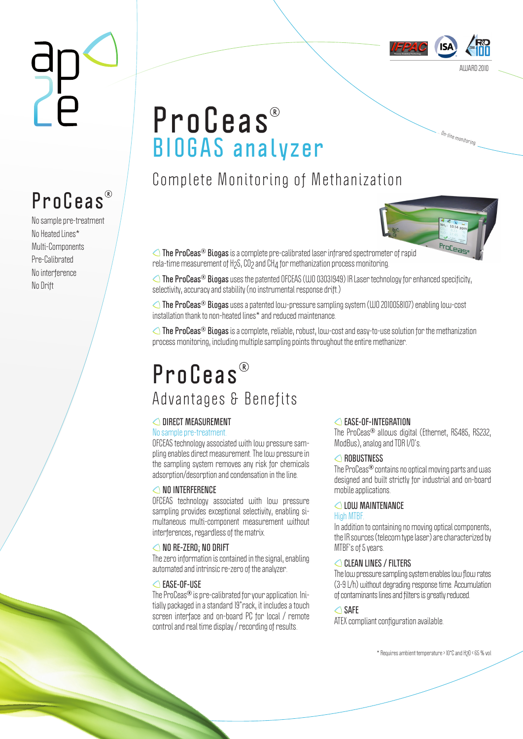

… <sup>O</sup>n-lin<sup>e</sup> <sup>m</sup>onitorin<sup>g</sup>

# **ProCeas BIOGAS analyzer**

Complete Monitoring of Methanization



**The ProCeas Biogas** is a complete pre-calibrated laser infrared spectrometer of rapid rela-time measurement of H2S, CO2 and CH4 for methanization process monitoring.

**The ProCeas<sup>®</sup> Biogas** uses the patented OFCEAS (WO 03031949) IR Laser technology for enhanced specificity, selectivity, accuracy and stability (no instrumental response drift.)

**The ProCeas<sup>®</sup> Biogas** uses a patented low-pressure sampling system (WO 2010058107) enabling low-cost installation thank to non-heated lines\* and reduced maintenance.

**The ProCeas<sup>®</sup> Biogas** is a complete, reliable, robust, low-cost and easy-to-use solution for the methanization process monitoring, including multiple sampling points throughout the entire methanizer.

### **P r o C e a s**  Advantages & Benefits

#### **DIRECT MEASUREMENT**

#### No sample pre-treatment.

OFCEAS technology associated with low pressure sampling enables direct measurement. The low pressure in the sampling system removes any risk for chemicals adsorption/desorption and condensation in the line.

#### **△NO INTERFERENCE**

OFCEAS technology associated with low pressure sampling provides exceptional selectivity, enabling simultaneous multi-component measurement without interferences, regardless of the matrix.

#### **NO RE-ZERO; NO DRIFT**

The zero information is contained in the signal, enabling automated and intrinsic re-zero of the analyzer.

#### **EASE-OF-USE**

The ProCeas<sup>®</sup> is pre-calibrated for your application. Initially packaged in a standard 19"rack, it includes a touch screen interface and on-board PC for local / remote control and real time display / recording of results.

#### **EASE-OF-INTEGRATION**

The ProCeas<sup>®</sup> allows digital (Ethernet, RS485, RS232, ModBus), analog and TDR I/O's.

#### **ROBUSTNESS**

The ProCeas<sup>®</sup> contains no optical moving parts and was designed and built strictly for industrial and on-board mobile applications.

#### **LOW MAINTENANCE**

#### High MTBF.

In addition to containing no moving optical components, the IR sources (telecom type laser) are characterized by MTBF's of 5 years.

#### **CLEAN LINES / FILTERS**

The low pressure sampling system enables low flow rates (3-9 L/h) without degrading response time. Accumulation of contaminants lines and filters is greatly reduced.

#### **SAFE**

ATEX compliant configuration available.

\* Requires ambient temperature > 10°C and H2O < 65 % vol

# **ProCeas**

No sample pre-treatment No Heated Lines\* Multi-Components Pre-Calibrated No interference No Drift